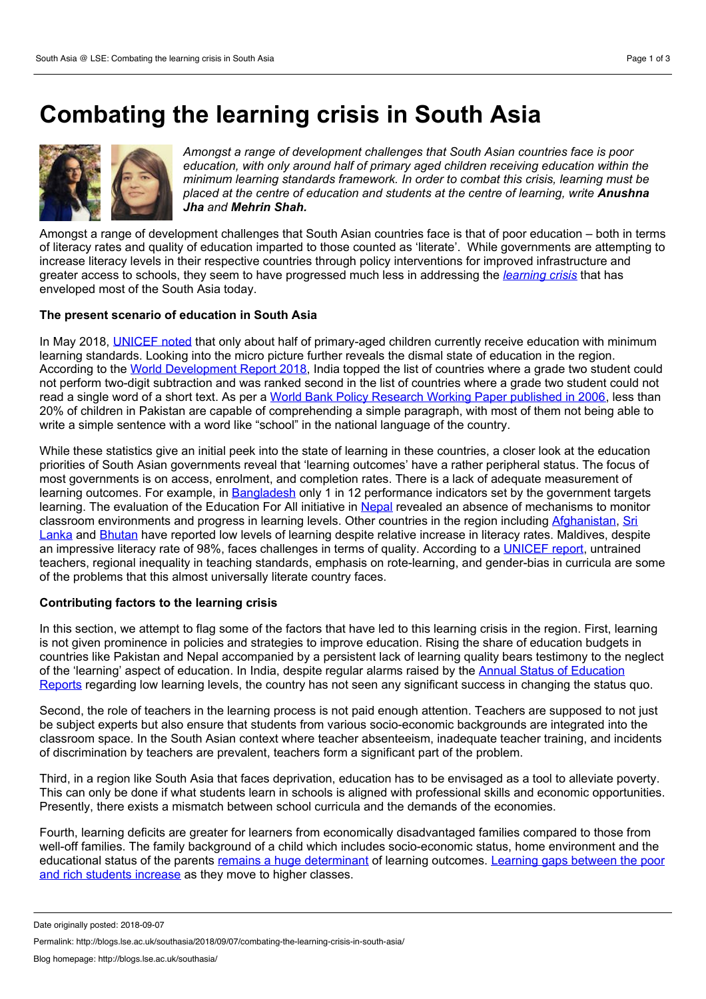# **Combating the learning crisis in South Asia**



*Amongst a range of development challenges that South Asian countries face is poor education, with only around half of primary aged children receiving education within the minimum learning standards framework. In order to combat this crisis, learning must be placed at the centre of education and students at the centre of learning, write Anushna Jha and Mehrin Shah.*

Amongst a range of development challenges that South Asian countries face is that of poor education – both in terms of literacy rates and quality of education imparted to those counted as 'literate'. While governments are attempting to increase literacy levels in their respective countries through policy interventions for improved infrastructure and greater access to schools, they seem to have progressed much less in addressing the *[learning](https://www.thehindubusinessline.com/news/education/south-asia-facing-learning-crisis-warns-unicef/article23803843.ece) crisis* that has enveloped most of the South Asia today.

## **The present scenario of education in South Asia**

In May 2018, [UNICEF](https://www.unicef.org/rosa/press-releases/south-asia-leaders-meet-nepal-radically-improve-education-region) noted that only about half of primary-aged children currently receive education with minimum learning standards. Looking into the micro picture further reveals the dismal state of education in the region. According to the World [Development](http://www.worldbank.org/en/publication/wdr2018) Report 2018, India topped the list of countries where a grade two student could not perform two-digit subtraction and was ranked second in the list of countries where a grade two student could not read a single word of a short text. As per a World Bank Policy Research Working Paper [published](https://openknowledge.worldbank.org/bitstream/handle/10986/8866/wps4067.pdf?sequence=1&isAllowed=y) in 2006, less than 20% of children in Pakistan are capable of comprehending a simple paragraph, with most of them not being able to write a simple sentence with a word like "school" in the national language of the country.

While these statistics give an initial peek into the state of learning in these countries, a closer look at the education priorities of South Asian governments reveal that 'learning outcomes' have a rather peripheral status. The focus of most governments is on access, enrolment, and completion rates. There is a lack of adequate measurement of learning outcomes. For example, in [Bangladesh](https://bdeduarticle.com/educational-crisis-in-bangladesh/) only 1 in 12 performance indicators set by the government targets learning. The evaluation of the Education For All initiative in [Nepal](http://www.ipsnews.net/2013/07/nepal-scores-low-on-quality-education/) revealed an absence of mechanisms to monitor classroom [environments](https://www.unicef.org/srilanka/overview_1647.htm) and progress in learning levels. Other countries in the region including [Afghanistan](https://www.unicef.org/afghanistan/education), Sri Lanka and [Bhutan](https://www.pce.edu.bt/wp-content/uploads/2017/09/Quality-of-Education-I.pdf) have reported low levels of learning despite relative increase in literacy rates. Maldives, despite an impressive literacy rate of 98%, faces challenges in terms of quality. According to a [UNICEF](https://www.unicef.org/maldives/media_3333.htm) report, untrained teachers, regional inequality in teaching standards, emphasis on rote-learning, and gender-bias in curricula are some of the problems that this almost universally literate country faces.

### **Contributing factors to the learning crisis**

In this section, we attempt to flag some of the factors that have led to this learning crisis in the region. First, learning is not given prominence in policies and strategies to improve education. Rising the share of education budgets in countries like Pakistan and Nepal accompanied by a persistent lack of learning quality bears testimony to the neglect of the 'learning' aspect of [education.](http://www.asercentre.org/p/51.html?p=61) In India, despite regular alarms raised by the Annual Status of Education Reports regarding low learning levels, the country has not seen any significant success in changing the status quo.

Second, the role of teachers in the learning process is not paid enough attention. Teachers are supposed to not just be subject experts but also ensure that students from various socio-economic backgrounds are integrated into the classroom space. In the South Asian context where teacher absenteeism, inadequate teacher training, and incidents of discrimination by teachers are prevalent, teachers form a significant part of the problem.

Third, in a region like South Asia that faces deprivation, education has to be envisaged as a tool to alleviate poverty. This can only be done if what students learn in schools is aligned with professional skills and economic opportunities. Presently, there exists a mismatch between school curricula and the demands of the economies.

Fourth, learning deficits are greater for learners from economically disadvantaged families compared to those from well-off families. The family background of a child which includes socio-economic status, home environment and the educational status of the parents remains a huge [determinant](https://openknowledge.worldbank.org/bitstream/handle/10986/20488/9781464801518.pdf?sequence=1&isAllowed=y) of learning outcomes. Learning gaps between the poor and rich students increase as they move to higher classes.

Date originally posted: 2018-09-07

Permalink: http://blogs.lse.ac.uk/southasia/2018/09/07/combating-the-learning-crisis-in-south-asia/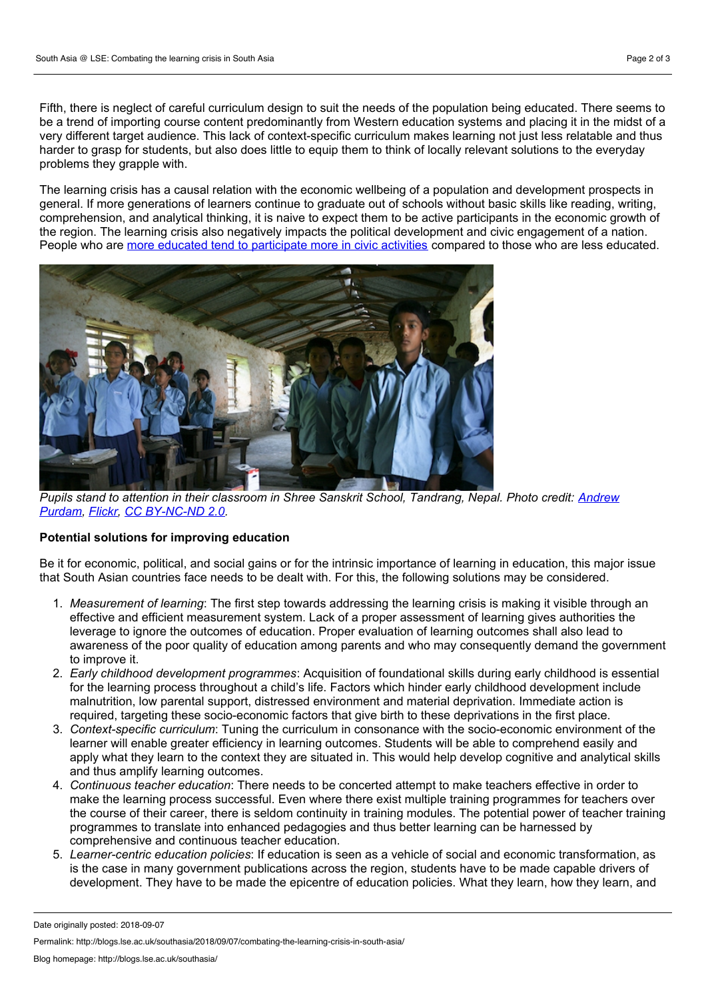Fifth, there is neglect of careful curriculum design to suit the needs of the population being educated. There seems to be a trend of importing course content predominantly from Western education systems and placing it in the midst of a very different target audience. This lack of context-specific curriculum makes learning not just less relatable and thus harder to grasp for students, but also does little to equip them to think of locally relevant solutions to the everyday problems they grapple with.

The learning crisis has a causal relation with the economic wellbeing of a population and development prospects in general. If more generations of learners continue to graduate out of schools without basic skills like reading, writing, comprehension, and analytical thinking, it is naive to expect them to be active participants in the economic growth of the region. The learning crisis also negatively impacts the political development and civic engagement of a nation. People who are more educated tend to [participate](http://search.ebscohost.com.gate3.library.lse.ac.uk/login.aspx?direct=true&db=bth&AN=83301904&site=ehost-live) more in civic activities compared to those who are less educated.



*Pupils stand to attention in their classroom in Shree Sanskrit School, Tandrang, Nepal. Photo credit: Andrew Purdam, [Flickr](https://www.flickr.com/photos/apurdam/5609141737/in/photolist-6JQ5AB-hdzeX6-doLQ95-pLVQQT-puJepX-i54VQK-wEBdDY-51o5he-9xEjqi-9xHhFh-w1kSEH-wWtQZs-7GEK7U-uLSzE-e4mGug-7trAPT-wEBKV5-e4mGze-db7bBT-61NA8L-24zj9W5-7GEJZU-7GAkBn-wEHWgV-8XRtrJ-9GA25C-tSsFh-db6Dkd-7GEKsU-db6Fim-51oahg-4zQFNa-5jtLad-7GANtt-8cYzLw-7GEHsL-dvTFKs-e4mDpc-29Ypzw-5MJjvy-7xk4g3-56c4Mk-akaG3W-5jtL7u-6JU86E-oZTMLr-pvuqjs-9PJWVi-7GEKZ3-7ngKus), CC [BY-NC-ND](https://www.flickr.com/photos/apurdam/) 2.0.*

### **Potential solutions for improving education**

Be it for economic, political, and social gains or for the intrinsic importance of learning in education, this major issue that South Asian countries face needs to be dealt with. For this, the following solutions may be considered.

- 1. *Measurement of learning*: The first step towards addressing the learning crisis is making it visible through an effective and efficient measurement system. Lack of a proper assessment of learning gives authorities the leverage to ignore the outcomes of education. Proper evaluation of learning outcomes shall also lead to awareness of the poor quality of education among parents and who may consequently demand the government to improve it.
- 2. *Early childhood development programmes*: Acquisition of foundational skills during early childhood is essential for the learning process throughout a child's life. Factors which hinder early childhood development include malnutrition, low parental support, distressed environment and material deprivation. Immediate action is required, targeting these socio-economic factors that give birth to these deprivations in the first place.
- 3. *Context-specific curriculum*: Tuning the curriculum in consonance with the socio-economic environment of the learner will enable greater efficiency in learning outcomes. Students will be able to comprehend easily and apply what they learn to the context they are situated in. This would help develop cognitive and analytical skills and thus amplify learning outcomes.
- 4. *Continuous teacher education*: There needs to be concerted attempt to make teachers effective in order to make the learning process successful. Even where there exist multiple training programmes for teachers over the course of their career, there is seldom continuity in training modules. The potential power of teacher training programmes to translate into enhanced pedagogies and thus better learning can be harnessed by comprehensive and continuous teacher education.
- 5. *Learner-centric education policies*: If education is seen as a vehicle of social and economic transformation, as is the case in many government publications across the region, students have to be made capable drivers of development. They have to be made the epicentre of education policies. What they learn, how they learn, and

Permalink: http://blogs.lse.ac.uk/southasia/2018/09/07/combating-the-learning-crisis-in-south-asia/

Date originally posted: 2018-09-07